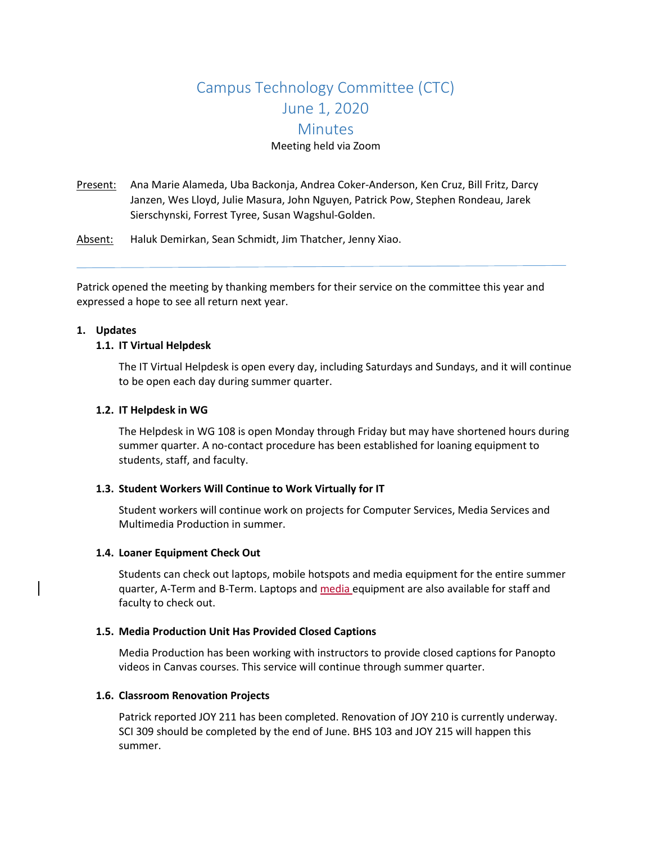# Campus Technology Committee (CTC) June 1, 2020 Minutes Meeting held via Zoom

Present: Ana Marie Alameda, Uba Backonja, Andrea Coker-Anderson, Ken Cruz, Bill Fritz, Darcy Janzen, Wes Lloyd, Julie Masura, John Nguyen, Patrick Pow, Stephen Rondeau, Jarek Sierschynski, Forrest Tyree, Susan Wagshul-Golden.

Absent: Haluk Demirkan, Sean Schmidt, Jim Thatcher, Jenny Xiao.

Patrick opened the meeting by thanking members for their service on the committee this year and expressed a hope to see all return next year.

#### **1. Updates**

## **1.1. IT Virtual Helpdesk**

The IT Virtual Helpdesk is open every day, including Saturdays and Sundays, and it will continue to be open each day during summer quarter.

## **1.2. IT Helpdesk in WG**

The Helpdesk in WG 108 is open Monday through Friday but may have shortened hours during summer quarter. A no-contact procedure has been established for loaning equipment to students, staff, and faculty.

#### **1.3. Student Workers Will Continue to Work Virtually for IT**

Student workers will continue work on projects for Computer Services, Media Services and Multimedia Production in summer.

#### **1.4. Loaner Equipment Check Out**

Students can check out laptops, mobile hotspots and media equipment for the entire summer quarter, A-Term and B-Term. Laptops and media equipment are also available for staff and faculty to check out.

#### **1.5. Media Production Unit Has Provided Closed Captions**

Media Production has been working with instructors to provide closed captions for Panopto videos in Canvas courses. This service will continue through summer quarter.

#### **1.6. Classroom Renovation Projects**

Patrick reported JOY 211 has been completed. Renovation of JOY 210 is currently underway. SCI 309 should be completed by the end of June. BHS 103 and JOY 215 will happen this summer.